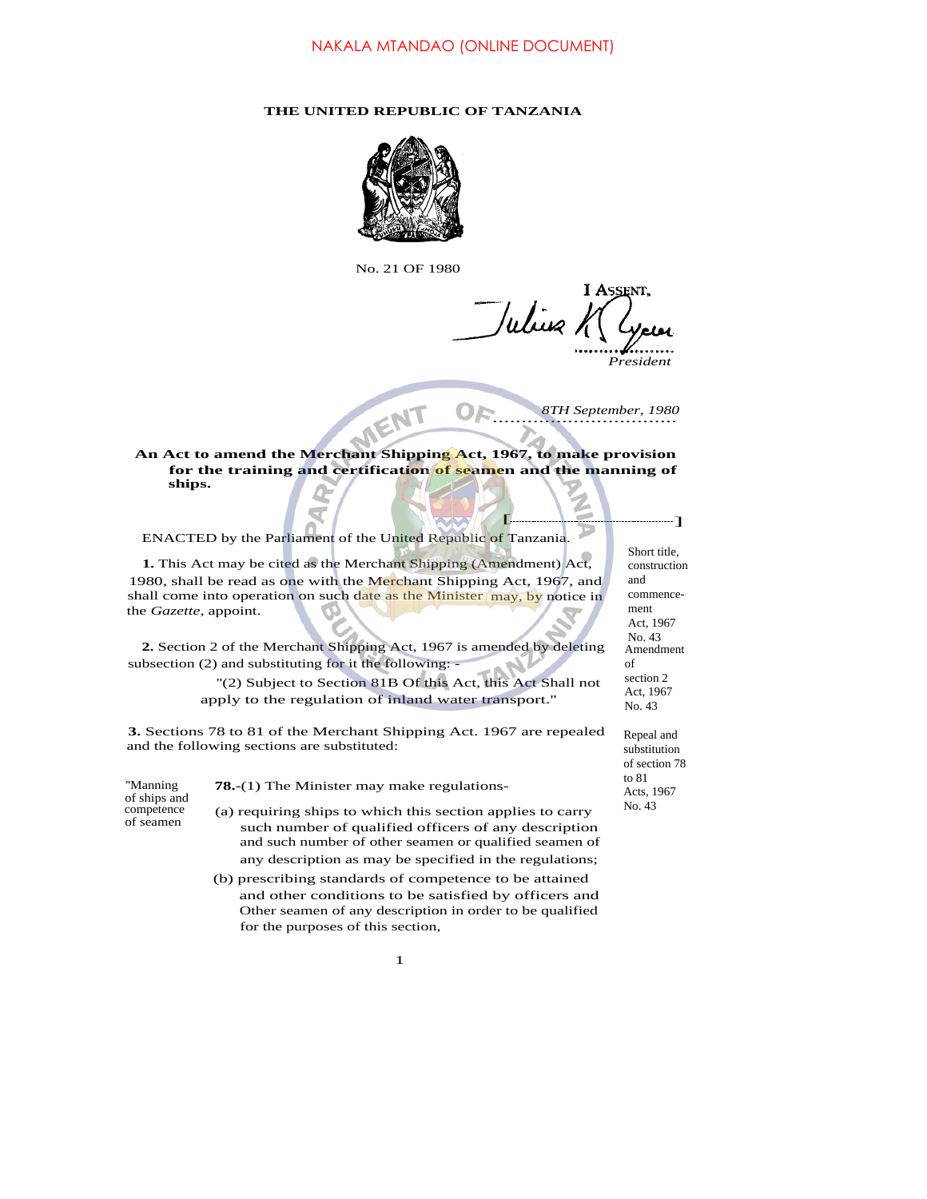## **THE UNITED REPUBLIC OF TANZANIA**



No. 21 OF 1980

**I ASSENT** Which h

*President*

................................ *8TH September, 1980*

 $\left| \begin{array}{c} \end{array} \right|$ 

**An Act to amend the Merchant Shipping Act, 1967, to make provision for the training and certification of seamen and the manning of ships.**

ENACTED by the Parliament of the United Republic of Tanzania.

**1.** This Act may be cited as the Merchant Shipping (Amendment) Act, 1980, shall be read as one with the Merchant Shipping Act, 1967, and shall come into operation on such date as the Minister may, by notice in the *Gazette,* appoint.

**2.** Section 2 of the Merchant Shipping Act, 1967 is amended by deleting subsection (2) and substituting for it the following: -

> ''(2) Subject to Section 81B Of this Act, this Act Shall not apply to the regulation of inland water transport.''

**3.** Sections 78 to 81 of the Merchant Shipping Act. 1967 are repealed and the following sections are substituted:

of ships and

''Manning **78.**-(1) The Minister may make regulations-

competence (a) requiring ships to which this section applies to carry of seamen such number of qualified officers of any description and such number of other seamen or qualified seamen of any description as may be specified in the regulations;

> (b) prescribing standards of competence to be attained and other conditions to be satisfied by officers and Other seamen of any description in order to be qualified for the purposes of this section,

> > 1

Short title, construction and commencement Act, 1967 No. 43 Amendment of section 2 Act, 1967 No. 43

Repeal and substitution of section 78 to 81 Acts, 1967 No. 43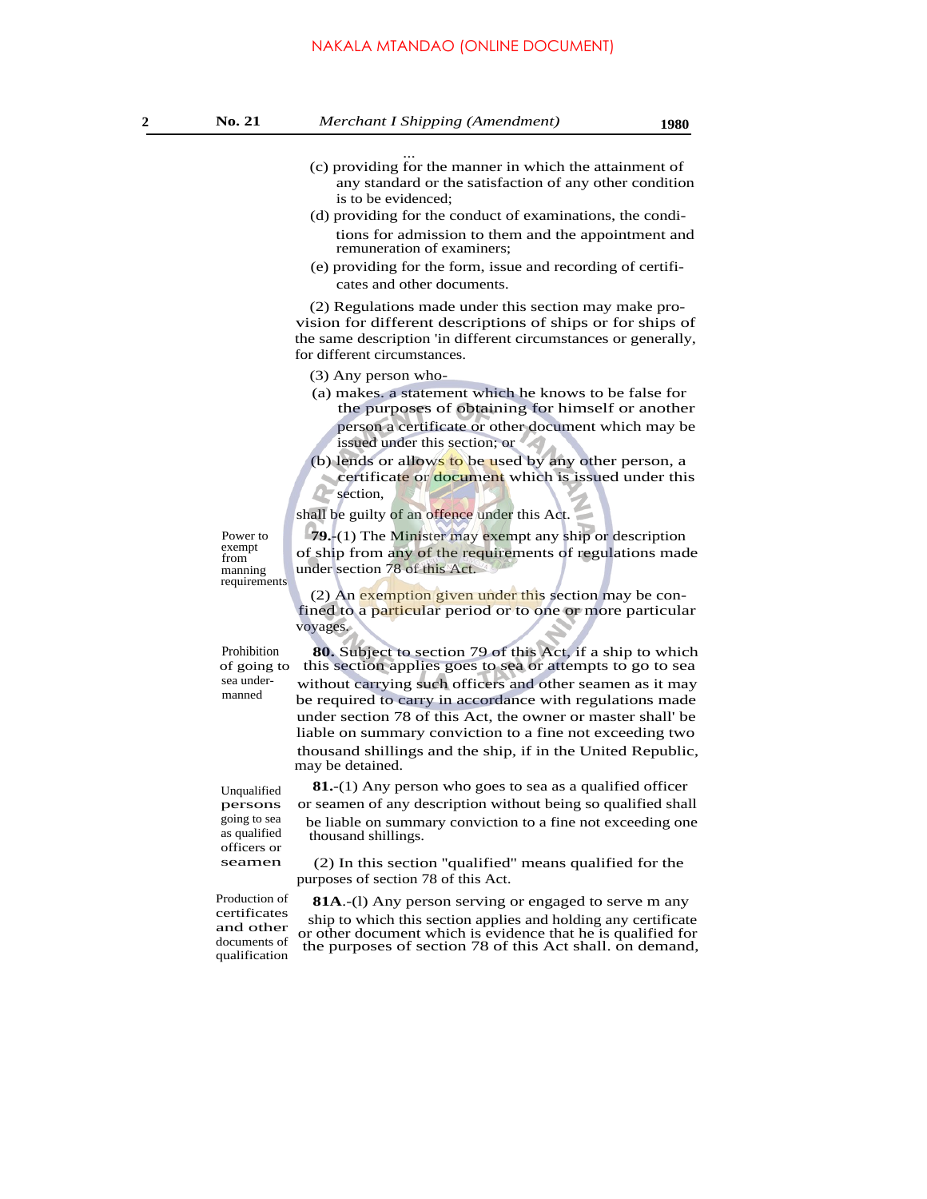- ... (c) providing for the manner in which the attainment of any standard or the satisfaction of any other condition is to be evidenced;
- (d) providing for the conduct of examinations, the conditions for admission to them and the appointment and remuneration of examiners;
- (e) providing for the form, issue and recording of certificates and other documents.

(2) Regulations made under this section may make provision for different descriptions of ships or for ships of the same description 'in different circumstances or generally, for different circumstances.

(3) Any person who-

- (a) makes. a statement which he knows to be false for the purposes of obtaining for himself or another person a certificate or other document which may be issued under this section; or
- (b) lends or allows to be used by any other person, a certificate or document which is issued under this **Section**,

shall be guilty of an offence under this Act.

Power to exempt from manning requirements

**79.**-(1) The Minister may exempt any ship or description of ship from any of the requirements of regulations made under section 78 of this Act.

(2) An exemption given under this section may be confined to a particular period or to one or more particular voyages.

manned

Prohibition **80.** Subject to section 79 of this Act, if a ship to which of going to this section applies goes to sea or attempts to go to sea of going to this section applies goes to sea or attempts to go to sea<br>sea under-<br>without corrying such officers and other seamen as it may without carrying such officers and other seamen as it may be required to carry in accordance with regulations made under section 78 of this Act, the owner or master shall' be liable on summary conviction to a fine not exceeding two thousand shillings and the ship, if in the United Republic, may be detained.

Unqualified persons going to sea as qualified officers or seamen

**81.**-(1) Any person who goes to sea as a qualified officer or seamen of any description without being so qualified shall be liable on summary conviction to a fine not exceeding one thousand shillings.

(2) In this section ''qualified'' means qualified for the purposes of section 78 of this Act.

certificates and other documents of qualification

Production of **81A**.-(1) Any person serving or engaged to serve m any ship to which this section applies and holding any certificate or other document which is evidence that he is qualified for the purposes of section 78 of this Act shall. on demand,